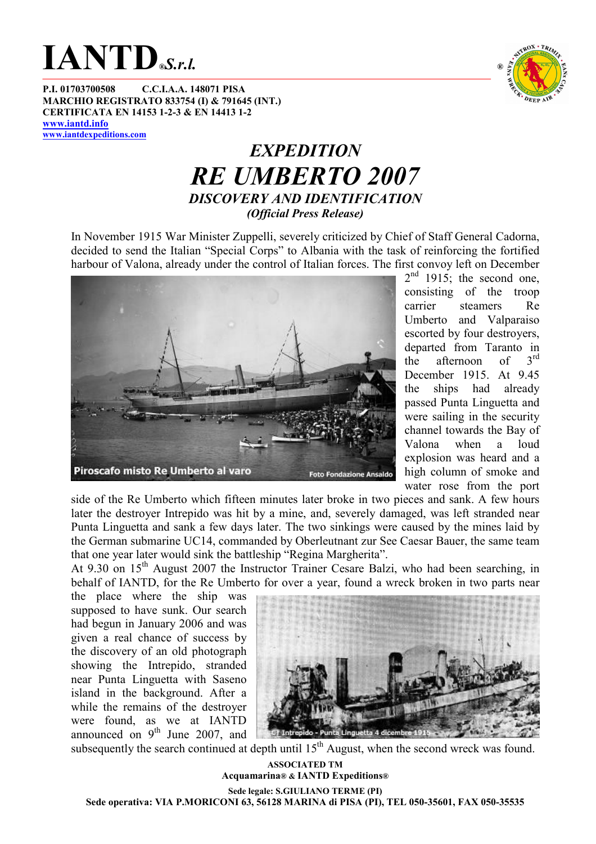

P.I. 01703700508 C.C.I.A.A. 148071 PISA MARCHIO REGISTRATO 833754 (I) & 791645 (INT.) CERTIFICATA EN 14153 1-2-3 & EN 14413 1-2 www.iantd.info www.iantdexpeditions.com

### TROX · TRI DEEP A

#### **EXPEDITION** RE UMBERTO 2007 DISCOVERY AND IDENTIFICATION (Official Press Release)

In November 1915 War Minister Zuppelli, severely criticized by Chief of Staff General Cadorna, decided to send the Italian "Special Corps" to Albania with the task of reinforcing the fortified harbour of Valona, already under the control of Italian forces. The first convoy left on December



 $2<sup>nd</sup>$  1915; the second one, consisting of the troop carrier steamers Re Umberto and Valparaiso escorted by four destroyers, departed from Taranto in<br>the afternoon of  $3<sup>rd</sup>$ the afternoon of December 1915. At 9.45 the ships had already passed Punta Linguetta and were sailing in the security channel towards the Bay of Valona when a loud explosion was heard and a high column of smoke and water rose from the port

side of the Re Umberto which fifteen minutes later broke in two pieces and sank. A few hours later the destroyer Intrepido was hit by a mine, and, severely damaged, was left stranded near Punta Linguetta and sank a few days later. The two sinkings were caused by the mines laid by the German submarine UC14, commanded by Oberleutnant zur See Caesar Bauer, the same team that one year later would sink the battleship "Regina Margherita".

At 9.30 on 15<sup>th</sup> August 2007 the Instructor Trainer Cesare Balzi, who had been searching, in behalf of IANTD, for the Re Umberto for over a year, found a wreck broken in two parts near

the place where the ship was supposed to have sunk. Our search had begun in January 2006 and was given a real chance of success by the discovery of an old photograph showing the Intrepido, stranded near Punta Linguetta with Saseno island in the background. After a while the remains of the destroyer were found, as we at IANTD announced on  $9<sup>th</sup>$  June 2007, and



subsequently the search continued at depth until  $15<sup>th</sup>$  August, when the second wreck was found.

ASSOCIATED TM Acquamarina® & IANTD Expeditions® Sede legale: S.GIULIANO TERME (PI) Sede operativa: VIA P.MORICONI 63, 56128 MARINA di PISA (PI), TEL 050-35601, FAX 050-35535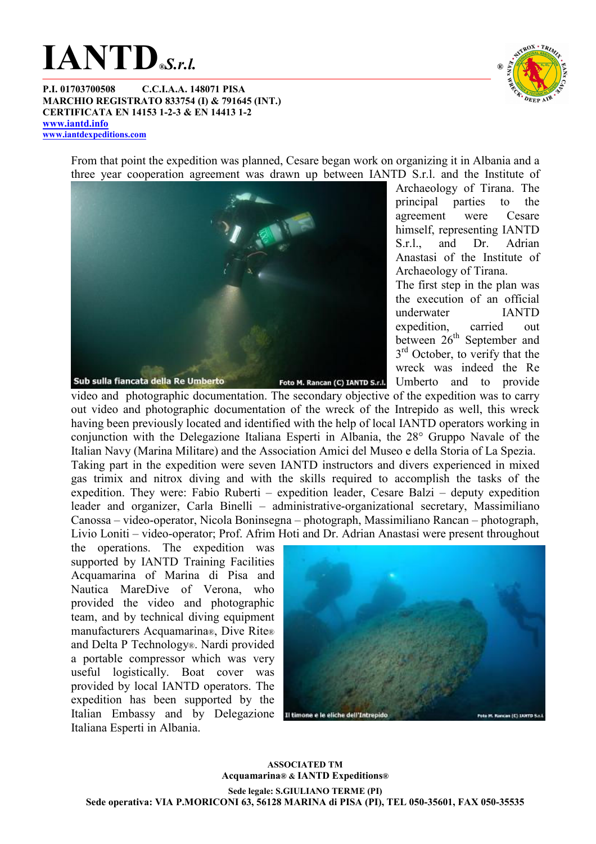# $IANTD$ <sub>®S.r.l.</sub>



P.I. 01703700508 C.C.I.A.A. 148071 PISA MARCHIO REGISTRATO 833754 (I) & 791645 (INT.) CERTIFICATA EN 14153 1-2-3 & EN 14413 1-2 www.iantd.info www.iantdexpeditions.com

> From that point the expedition was planned, Cesare began work on organizing it in Albania and a three year cooperation agreement was drawn up between IANTD S.r.l. and the Institute of



Archaeology of Tirana. The principal parties to the agreement were Cesare himself, representing IANTD S.r.l., and Dr. Adrian Anastasi of the Institute of Archaeology of Tirana. The first step in the plan was the execution of an official underwater IANTD expedition, carried out between 26<sup>th</sup> September and 3<sup>rd</sup> October, to verify that the

wreck was indeed the Re

Umberto and to provide video and photographic documentation. The secondary objective of the expedition was to carry out video and photographic documentation of the wreck of the Intrepido as well, this wreck having been previously located and identified with the help of local IANTD operators working in conjunction with the Delegazione Italiana Esperti in Albania, the 28° Gruppo Navale of the Italian Navy (Marina Militare) and the Association Amici del Museo e della Storia of La Spezia. Taking part in the expedition were seven IANTD instructors and divers experienced in mixed gas trimix and nitrox diving and with the skills required to accomplish the tasks of the expedition. They were: Fabio Ruberti – expedition leader, Cesare Balzi – deputy expedition leader and organizer, Carla Binelli – administrative-organizational secretary, Massimiliano Canossa – video-operator, Nicola Boninsegna – photograph, Massimiliano Rancan – photograph, Livio Loniti – video-operator; Prof. Afrim Hoti and Dr. Adrian Anastasi were present throughout

the operations. The expedition was supported by IANTD Training Facilities Acquamarina of Marina di Pisa and Nautica MareDive of Verona who provided the video and photographic team, and by technical diving equipment manufacturers Acquamarina®, Dive Rite® and Delta P Technology®. Nardi provided a portable compressor which was very useful logistically. Boat cover was provided by local IANTD operators. The expedition has been supported by the Italian Embassy and by Delegazione Il timone e le eliche dell'Intreg Italiana Esperti in Albania.